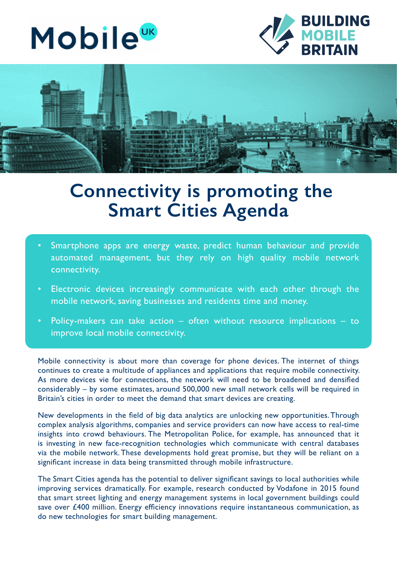





## **Connectivity is promoting the Smart Cities Agenda**

- Smartphone apps are energy waste, predict human behaviour and provide automated management, but they rely on high quality mobile network connectivity.
- Electronic devices increasingly communicate with each other through the mobile network, saving businesses and residents time and money.
- Policy-makers can take action  $-$  often without resource implications  $-$  to improve local mobile connectivity.

Mobile connectivity is about more than coverage for phone devices. The internet of things continues to create a multitude of appliances and applications that require mobile connectivity. As more devices vie for connections, the network will need to be broadened and densified considerably – by some estimates, around 500,000 new small network cells will be required in Britain's cities in order to meet the demand that smart devices are creating.

New developments in the field of big data analytics are unlocking new opportunities. Through complex analysis algorithms, companies and service providers can now have access to real-time insights into crowd behaviours. The Metropolitan Police, for example, has announced that it is investing in new face-recognition technologies which communicate with central databases via the mobile network. These developments hold great promise, but they will be reliant on a significant increase in data being transmitted through mobile infrastructure.

The Smart Cities agenda has the potential to deliver significant savings to local authorities while improving services dramatically. For example, research conducted by Vodafone in 2015 found that smart street lighting and energy management systems in local government buildings could save over £400 million. Energy efficiency innovations require instantaneous communication, as do new technologies for smart building management.